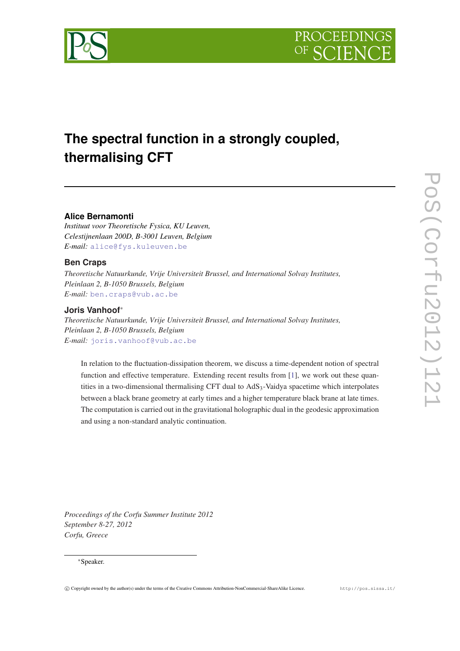

# **The spectral function in a strongly coupled, thermalising CFT**

# **Alice Bernamonti**

*Instituut voor Theoretische Fysica, KU Leuven, Celestijnenlaan 200D, B-3001 Leuven, Belgium E-mail:* [alice@fys.kuleuven.be](mailto:alice@fys.kuleuven.be)

# **Ben Craps**

*Theoretische Natuurkunde, Vrije Universiteit Brussel, and International Solvay Institutes, Pleinlaan 2, B-1050 Brussels, Belgium E-mail:* [ben.craps@vub.ac.be](mailto:ben.craps@vub.ac.be)

# **Joris Vanhoof**<sup>∗</sup>

*Theoretische Natuurkunde, Vrije Universiteit Brussel, and International Solvay Institutes, Pleinlaan 2, B-1050 Brussels, Belgium E-mail:* [joris.vanhoof@vub.ac.be](mailto:joris.vanhoof@vub.ac.be)

In relation to the fluctuation-dissipation theorem, we discuss a time-dependent notion of spectral function and effective temperature. Extending recent results from [[1\]](#page-12-0), we work out these quantities in a two-dimensional thermalising CFT dual to AdS<sub>3</sub>-Vaidya spacetime which interpolates between a black brane geometry at early times and a higher temperature black brane at late times. The computation is carried out in the gravitational holographic dual in the geodesic approximation and using a non-standard analytic continuation.

*Proceedings of the Corfu Summer Institute 2012 September 8-27, 2012 Corfu, Greece*

## <sup>∗</sup>Speaker.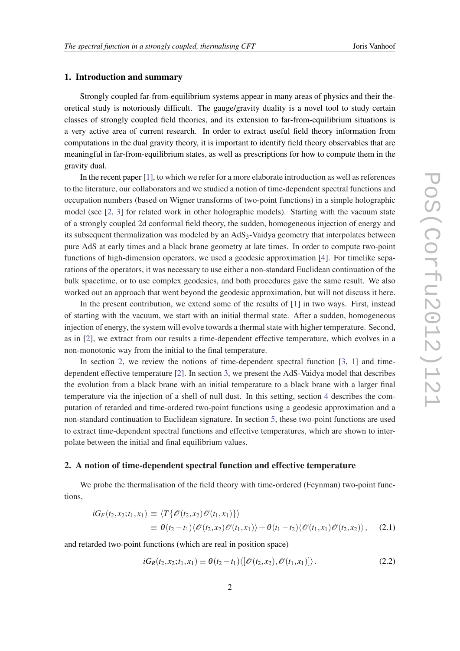## <span id="page-1-0"></span>1. Introduction and summary

Strongly coupled far-from-equilibrium systems appear in many areas of physics and their theoretical study is notoriously difficult. The gauge/gravity duality is a novel tool to study certain classes of strongly coupled field theories, and its extension to far-from-equilibrium situations is a very active area of current research. In order to extract useful field theory information from computations in the dual gravity theory, it is important to identify field theory observables that are meaningful in far-from-equilibrium states, as well as prescriptions for how to compute them in the gravity dual.

In the recent paper [\[1](#page-12-0)], to which we refer for a more elaborate introduction as well as references to the literature, our collaborators and we studied a notion of time-dependent spectral functions and occupation numbers (based on Wigner transforms of two-point functions) in a simple holographic model (see [[2](#page-12-0), [3](#page-13-0)] for related work in other holographic models). Starting with the vacuum state of a strongly coupled 2d conformal field theory, the sudden, homogeneous injection of energy and its subsequent thermalization was modeled by an  $AdS<sub>3</sub>$ -Vaidya geometry that interpolates between pure AdS at early times and a black brane geometry at late times. In order to compute two-point functions of high-dimension operators, we used a geodesic approximation [[4](#page-13-0)]. For timelike separations of the operators, it was necessary to use either a non-standard Euclidean continuation of the bulk spacetime, or to use complex geodesics, and both procedures gave the same result. We also worked out an approach that went beyond the geodesic approximation, but will not discuss it here.

In the present contribution, we extend some of the results of [[1](#page-12-0)] in two ways. First, instead of starting with the vacuum, we start with an initial thermal state. After a sudden, homogeneous injection of energy, the system will evolve towards a thermal state with higher temperature. Second, as in [\[2\]](#page-12-0), we extract from our results a time-dependent effective temperature, which evolves in a non-monotonic way from the initial to the final temperature.

In section 2, we review the notions of time-dependent spectral function [[3](#page-13-0), [1](#page-12-0)] and timedependent effective temperature [\[2\]](#page-12-0). In section [3](#page-3-0), we present the AdS-Vaidya model that describes the evolution from a black brane with an initial temperature to a black brane with a larger final temperature via the injection of a shell of null dust. In this setting, section [4](#page-4-0) describes the computation of retarded and time-ordered two-point functions using a geodesic approximation and a non-standard continuation to Euclidean signature. In section [5](#page-11-0), these two-point functions are used to extract time-dependent spectral functions and effective temperatures, which are shown to interpolate between the initial and final equilibrium values.

## 2. A notion of time-dependent spectral function and effective temperature

We probe the thermalisation of the field theory with time-ordered (Feynman) two-point functions,

$$
iG_F(t_2,x_2;t_1,x_1) \equiv \langle T\{\mathscr{O}(t_2,x_2)\mathscr{O}(t_1,x_1)\}\rangle
$$
  

$$
\equiv \theta(t_2-t_1)\langle\mathscr{O}(t_2,x_2)\mathscr{O}(t_1,x_1)\rangle + \theta(t_1-t_2)\langle\mathscr{O}(t_1,x_1)\mathscr{O}(t_2,x_2)\rangle, \quad (2.1)
$$

and retarded two-point functions (which are real in position space)

$$
iG_R(t_2, x_2; t_1, x_1) \equiv \theta(t_2 - t_1) \langle [\mathscr{O}(t_2, x_2), \mathscr{O}(t_1, x_1)] \rangle. \tag{2.2}
$$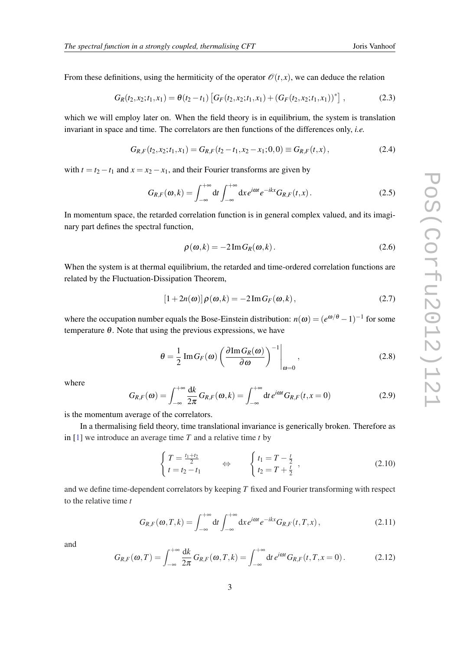<span id="page-2-0"></span>From these definitions, using the hermiticity of the operator  $\mathcal{O}(t, x)$ , we can deduce the relation

$$
G_R(t_2,x_2;t_1,x_1)=\theta(t_2-t_1)\left[G_F(t_2,x_2;t_1,x_1)+(G_F(t_2,x_2;t_1,x_1))^*\right],\qquad (2.3)
$$

which we will employ later on. When the field theory is in equilibrium, the system is translation invariant in space and time. The correlators are then functions of the differences only, *i.e.*

$$
G_{R,F}(t_2,x_2;t_1,x_1) = G_{R,F}(t_2-t_1,x_2-x_1;0,0) \equiv G_{R,F}(t,x), \qquad (2.4)
$$

with  $t = t_2 - t_1$  and  $x = x_2 - x_1$ , and their Fourier transforms are given by

$$
G_{R,F}(\omega,k) = \int_{-\infty}^{+\infty} dt \int_{-\infty}^{+\infty} dx e^{i\omega t} e^{-ikx} G_{R,F}(t,x).
$$
 (2.5)

In momentum space, the retarded correlation function is in general complex valued, and its imaginary part defines the spectral function,

$$
\rho(\omega,k) = -2\operatorname{Im} G_R(\omega,k). \tag{2.6}
$$

When the system is at thermal equilibrium, the retarded and time-ordered correlation functions are related by the Fluctuation-Dissipation Theorem,

$$
[1+2n(\omega)]\rho(\omega,k) = -2\operatorname{Im} G_F(\omega,k), \qquad (2.7)
$$

where the occupation number equals the Bose-Einstein distribution:  $n(\omega) = (e^{\omega/\theta} - 1)^{-1}$  for some temperature  $\theta$ . Note that using the previous expressions, we have

$$
\theta = \frac{1}{2} \operatorname{Im} G_F(\omega) \left( \frac{\partial \operatorname{Im} G_R(\omega)}{\partial \omega} \right)^{-1} \Big|_{\omega = 0}, \qquad (2.8)
$$

where

$$
G_{R,F}(\omega) = \int_{-\infty}^{+\infty} \frac{dk}{2\pi} G_{R,F}(\omega, k) = \int_{-\infty}^{+\infty} dt \, e^{i\omega t} G_{R,F}(t, x = 0) \tag{2.9}
$$

is the momentum average of the correlators.

In a thermalising field theory, time translational invariance is generically broken. Therefore as in [\[1\]](#page-12-0) we introduce an average time *T* and a relative time *t* by

$$
\begin{cases}\nT = \frac{t_1 + t_2}{2} \\
t = t_2 - t_1\n\end{cases}\n\Leftrightarrow\n\begin{cases}\nt_1 = T - \frac{t}{2} \\
t_2 = T + \frac{t}{2}\n\end{cases},
$$
\n(2.10)

and we define time-dependent correlators by keeping *T* fixed and Fourier transforming with respect to the relative time *t*

$$
G_{R,F}(\omega,T,k) = \int_{-\infty}^{+\infty} dt \int_{-\infty}^{+\infty} dx e^{i\omega t} e^{-ikx} G_{R,F}(t,T,x), \qquad (2.11)
$$

and

$$
G_{R,F}(\omega,T) = \int_{-\infty}^{+\infty} \frac{dk}{2\pi} G_{R,F}(\omega,T,k) = \int_{-\infty}^{+\infty} dt \, e^{i\omega t} G_{R,F}(t,T,x=0) \,. \tag{2.12}
$$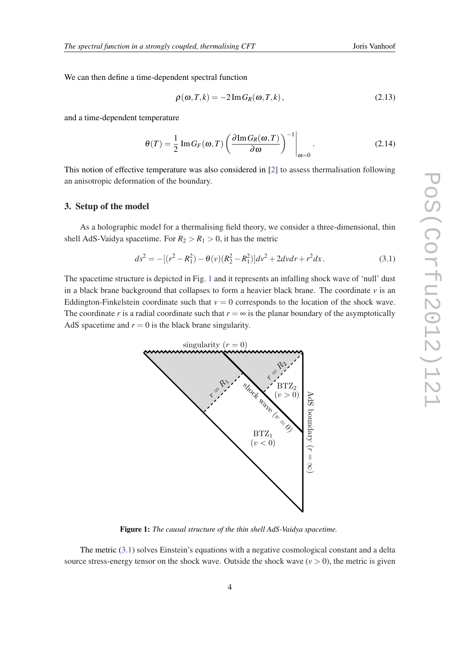<span id="page-3-0"></span>We can then define a time-dependent spectral function

$$
\rho(\omega, T, k) = -2 \operatorname{Im} G_R(\omega, T, k), \qquad (2.13)
$$

and a time-dependent temperature

$$
\theta(T) = \frac{1}{2} \operatorname{Im} G_F(\omega, T) \left( \frac{\partial \operatorname{Im} G_R(\omega, T)}{\partial \omega} \right)^{-1} \Big|_{\omega = 0}.
$$
 (2.14)

This notion of effective temperature was also considered in [[2](#page-12-0)] to assess thermalisation following an anisotropic deformation of the boundary.

## 3. Setup of the model

As a holographic model for a thermalising field theory, we consider a three-dimensional, thin shell AdS-Vaidya spacetime. For  $R_2 > R_1 > 0$ , it has the metric

$$
ds^{2} = -[(r^{2} - R_{1}^{2}) - \theta(v)(R_{2}^{2} - R_{1}^{2})]dv^{2} + 2dvdr + r^{2}dx.
$$
 (3.1)

The spacetime structure is depicted in Fig. 1 and it represents an infalling shock wave of 'null' dust in a black brane background that collapses to form a heavier black brane. The coordinate  $\nu$  is an Eddington-Finkelstein coordinate such that  $v = 0$  corresponds to the location of the shock wave. The coordinate *r* is a radial coordinate such that  $r = \infty$  is the planar boundary of the asymptotically AdS spacetime and  $r = 0$  is the black brane singularity.



Figure 1: *The causal structure of the thin shell AdS-Vaidya spacetime.*

The metric (3.1) solves Einstein's equations with a negative cosmological constant and a delta source stress-energy tensor on the shock wave. Outside the shock wave  $(v > 0)$ , the metric is given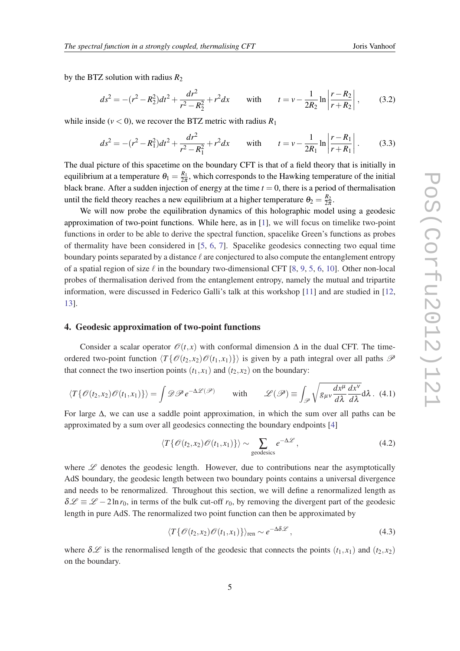<span id="page-4-0"></span>by the BTZ solution with radius  $R_2$ 

$$
ds^{2} = -(r^{2} - R_{2}^{2})dt^{2} + \frac{dr^{2}}{r^{2} - R_{2}^{2}} + r^{2}dx \quad \text{with} \quad t = v - \frac{1}{2R_{2}}\ln\left|\frac{r - R_{2}}{r + R_{2}}\right|,
$$
 (3.2)

while inside ( $v < 0$ ), we recover the BTZ metric with radius  $R_1$ 

$$
ds^{2} = -(r^{2} - R_{1}^{2})dt^{2} + \frac{dr^{2}}{r^{2} - R_{1}^{2}} + r^{2}dx \quad \text{with} \quad t = v - \frac{1}{2R_{1}}\ln\left|\frac{r - R_{1}}{r + R_{1}}\right|.
$$
 (3.3)

The dual picture of this spacetime on the boundary CFT is that of a field theory that is initially in equilibrium at a temperature  $\theta_1 = \frac{R_1}{2\pi}$  $\frac{K_1}{2\pi}$ , which corresponds to the Hawking temperature of the initial black brane. After a sudden injection of energy at the time  $t = 0$ , there is a period of thermalisation until the field theory reaches a new equilibrium at a higher temperature  $\theta_2 = \frac{R_2}{2\pi}$  $rac{K_2}{2\pi}$ .

We will now probe the equilibration dynamics of this holographic model using a geodesic approximation of two-point functions. While here, as in [[1\]](#page-12-0), we will focus on timelike two-point functions in order to be able to derive the spectral function, spacelike Green's functions as probes of thermality have been considered in [[5](#page-13-0), [6](#page-13-0), [7\]](#page-13-0). Spacelike geodesics connecting two equal time boundary points separated by a distance  $\ell$  are conjectured to also compute the entanglement entropy of a spatial region of size  $\ell$  in the boundary two-dimensional CFT [[8](#page-13-0), [9](#page-13-0), [5](#page-13-0), [6,](#page-13-0) [10\]](#page-13-0). Other non-local probes of thermalisation derived from the entanglement entropy, namely the mutual and tripartite information, were discussed in Federico Galli's talk at this workshop [\[11\]](#page-13-0) and are studied in [\[12](#page-13-0), [13](#page-13-0)].

## 4. Geodesic approximation of two-point functions

Consider a scalar operator  $\mathcal{O}(t, x)$  with conformal dimension  $\Delta$  in the dual CFT. The timeordered two-point function  $\langle T\{\mathcal{O}(t_1, x_1)\}\rangle$  is given by a path integral over all paths  $\mathcal P$ that connect the two insertion points  $(t_1, x_1)$  and  $(t_2, x_2)$  on the boundary:

$$
\langle T\{\mathscr{O}(t_2,x_2)\mathscr{O}(t_1,x_1)\}\rangle = \int \mathscr{D}\mathscr{P} e^{-\Delta \mathscr{L}(\mathscr{P})} \quad \text{with} \quad \mathscr{L}(\mathscr{P}) \equiv \int_{\mathscr{P}} \sqrt{g_{\mu\nu}\frac{dx^{\mu}}{d\lambda}\frac{dx^{\nu}}{d\lambda}} d\lambda. \tag{4.1}
$$

For large  $\Delta$ , we can use a saddle point approximation, in which the sum over all paths can be approximated by a sum over all geodesics connecting the boundary endpoints [\[4\]](#page-13-0)

$$
\langle T\{\mathcal{O}(t_2,x_2)\mathcal{O}(t_1,x_1)\}\rangle \sim \sum_{\text{geodesics}} e^{-\Delta \mathcal{L}},\tag{4.2}
$$

where  $\mathscr L$  denotes the geodesic length. However, due to contributions near the asymptotically AdS boundary, the geodesic length between two boundary points contains a universal divergence and needs to be renormalized. Throughout this section, we will define a renormalized length as  $\delta \mathcal{L} \equiv \mathcal{L} - 2 \ln r_0$ , in terms of the bulk cut-off  $r_0$ , by removing the divergent part of the geodesic length in pure AdS. The renormalized two point function can then be approximated by

$$
\langle T\{\mathscr{O}(t_2,x_2)\mathscr{O}(t_1,x_1)\}\rangle_{\text{ren}} \sim e^{-\Delta\delta\mathscr{L}},\tag{4.3}
$$

where  $\delta \mathscr{L}$  is the renormalised length of the geodesic that connects the points  $(t_1, x_1)$  and  $(t_2, x_2)$ on the boundary.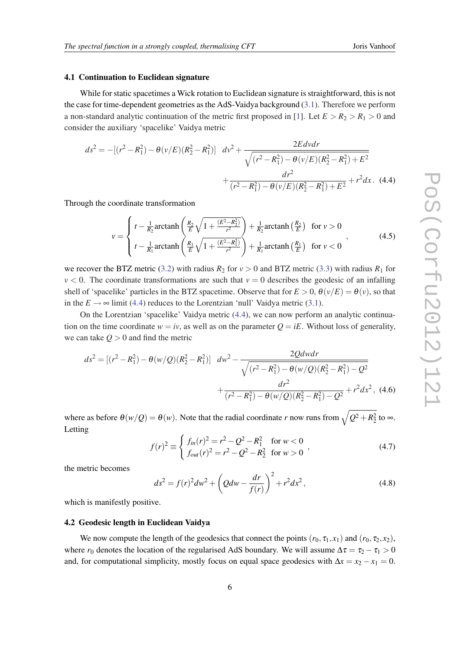### 4.1 Continuation to Euclidean signature

While for static spacetimes a Wick rotation to Euclidean signature is straightforward, this is not the case for time-dependent geometries as the AdS-Vaidya background ([3.1](#page-3-0)). Therefore we perform a non-standard analytic continuation of the metric first proposed in [[1](#page-12-0)]. Let  $E > R_2 > R_1 > 0$  and consider the auxiliary 'spacelike' Vaidya metric

$$
ds^{2} = -[(r^{2} - R_{1}^{2}) - \theta(v/E)(R_{2}^{2} - R_{1}^{2})] \frac{dv^{2} + \frac{2Edvdr}{\sqrt{(r^{2} - R_{1}^{2}) - \theta(v/E)(R_{2}^{2} - R_{1}^{2}) + E^{2}}}}{dr^{2} + \frac{dr^{2}}{(r^{2} - R_{1}^{2}) - \theta(v/E)(R_{2}^{2} - R_{1}^{2}) + E^{2}} + r^{2}dx
$$
 (4.4)

Through the coordinate transformation

$$
v = \begin{cases} t - \frac{1}{R_2} \operatorname{arctanh}\left(\frac{R_2}{E} \sqrt{1 + \frac{(E^2 - R_2^2)}{r^2}}\right) + \frac{1}{R_2} \operatorname{arctanh}\left(\frac{R_2}{E}\right) & \text{for } v > 0\\ t - \frac{1}{R_1} \operatorname{arctanh}\left(\frac{R_1}{E} \sqrt{1 + \frac{(E^2 - R_1^2)}{r^2}}\right) + \frac{1}{R_1} \operatorname{arctanh}\left(\frac{R_1}{E}\right) & \text{for } v < 0 \end{cases},\tag{4.5}
$$

we recover the BTZ metric [\(3.2\)](#page-4-0) with radius  $R_2$  for  $v > 0$  and BTZ metric [\(3.3\)](#page-4-0) with radius  $R_1$  for  $v < 0$ . The coordinate transformations are such that  $v = 0$  describes the geodesic of an infalling shell of 'spacelike' particles in the BTZ spacetime. Observe that for  $E > 0$ ,  $\theta(v/E) = \theta(v)$ , so that in the  $E \rightarrow \infty$  limit (4.4) reduces to the Lorentzian 'null' Vaidya metric ([3.1](#page-3-0)).

On the Lorentzian 'spacelike' Vaidya metric (4.4), we can now perform an analytic continuation on the time coordinate  $w = iv$ , as well as on the parameter  $Q = iE$ . Without loss of generality, we can take  $Q > 0$  and find the metric

$$
ds^{2} = [(r^{2} - R_{1}^{2}) - \theta(w/Q)(R_{2}^{2} - R_{1}^{2})] \frac{dw^{2} - \frac{2Qdwdr}{\sqrt{(r^{2} - R_{1}^{2}) - \theta(w/Q)(R_{2}^{2} - R_{1}^{2}) - Q^{2}}}}{r^{2}} + \frac{dr^{2}}{(r^{2} - R_{1}^{2}) - \theta(w/Q)(R_{2}^{2} - R_{1}^{2}) - Q^{2}} + r^{2}dx^{2}, (4.6)
$$

where as before  $\theta(w/Q) = \theta(w)$ . Note that the radial coordinate *r* now runs from  $\sqrt{Q^2 + R_2^2}$  to  $\infty$ . Letting

$$
f(r)^{2} \equiv \begin{cases} f_{in}(r)^{2} = r^{2} - Q^{2} - R_{1}^{2} & \text{for } w < 0\\ f_{out}(r)^{2} = r^{2} - Q^{2} - R_{2}^{2} & \text{for } w > 0 \end{cases}
$$
 (4.7)

the metric becomes

$$
ds^{2} = f(r)^{2}dw^{2} + \left(Qdw - \frac{dr}{f(r)}\right)^{2} + r^{2}dx^{2},
$$
\n(4.8)

which is manifestly positive.

## 4.2 Geodesic length in Euclidean Vaidya

We now compute the length of the geodesics that connect the points  $(r_0, \tau_1, x_1)$  and  $(r_0, \tau_2, x_2)$ , where  $r_0$  denotes the location of the regularised AdS boundary. We will assume  $\Delta \tau = \tau_2 - \tau_1 > 0$ and, for computational simplicity, mostly focus on equal space geodesics with  $\Delta x = x_2 - x_1 = 0$ .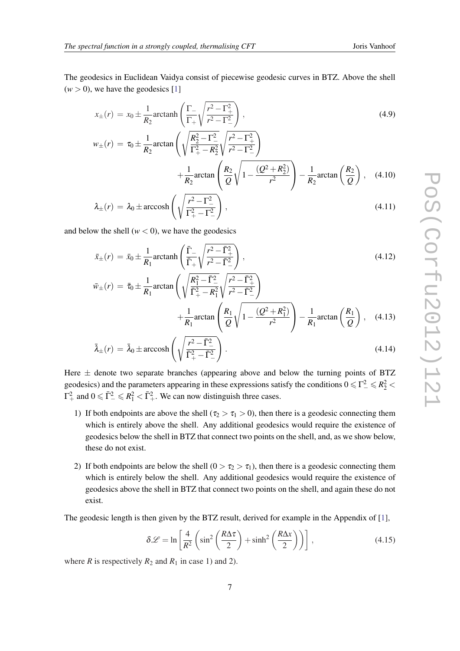<span id="page-6-0"></span>The geodesics in Euclidean Vaidya consist of piecewise geodesic curves in BTZ. Above the shell  $(w > 0)$ , we have the geodesics [\[1\]](#page-12-0)

$$
x_{\pm}(r) = x_0 \pm \frac{1}{R_2} \arctanh\left(\frac{\Gamma_{-}}{\Gamma_{+}} \sqrt{\frac{r^2 - \Gamma_{+}^2}{r^2 - \Gamma_{-}^2}}\right),
$$
\n(4.9)

$$
w_{\pm}(r) = \tau_0 \pm \frac{1}{R_2} \arctan\left(\sqrt{\frac{R_2^2 - \Gamma_{-}^2}{\Gamma_{+}^2 - R_2^2}} \sqrt{\frac{r^2 - \Gamma_{+}^2}{r^2 - \Gamma_{-}^2}}\right) + \frac{1}{R_2} \arctan\left(\frac{R_2}{Q} \sqrt{1 - \frac{(Q^2 + R_2^2)}{r^2}}\right) - \frac{1}{R_2} \arctan\left(\frac{R_2}{Q}\right), \quad (4.10)
$$

$$
\lambda_{\pm}(r) = \lambda_0 \pm \operatorname{arccosh}\left(\sqrt{\frac{r^2 - \Gamma_-^2}{\Gamma_+^2 - \Gamma_-^2}}\right),\tag{4.11}
$$

and below the shell  $(w < 0)$ , we have the geodesics

$$
\bar{x}_{\pm}(r) = \bar{x}_0 \pm \frac{1}{R_1} \arctanh\left(\frac{\bar{\Gamma}_{-}}{\bar{\Gamma}_{+}} \sqrt{\frac{r^2 - \bar{\Gamma}_{+}^2}{r^2 - \bar{\Gamma}_{-}^2}}\right),\tag{4.12}
$$

$$
\bar{w}_{\pm}(r) = \bar{\tau}_0 \pm \frac{1}{R_1} \arctan\left(\sqrt{\frac{R_1^2 - \bar{\Gamma}_{-}^2}{\bar{\Gamma}_{+}^2 - R_1^2}} \sqrt{\frac{r^2 - \bar{\Gamma}_{+}^2}{r^2 - \bar{\Gamma}_{-}^2}}\right) + \frac{1}{R_1} \arctan\left(\frac{R_1}{Q} \sqrt{1 - \frac{(Q^2 + R_1^2)}{r^2}}\right) - \frac{1}{R_1} \arctan\left(\frac{R_1}{Q}\right), \quad (4.13)
$$

$$
\bar{\lambda}_{\pm}(r) = \bar{\lambda}_0 \pm \operatorname{arccosh}\left(\sqrt{\frac{r^2 - \bar{\Gamma}^2_{-}}{\bar{\Gamma}^2_{+} - \bar{\Gamma}^2_{-}}}\right). \tag{4.14}
$$

Here  $\pm$  denote two separate branches (appearing above and below the turning points of BTZ geodesics) and the parameters appearing in these expressions satisfy the conditions  $0 \leq \Gamma_-^2 \leq R_2^2$  $\Gamma^2_+$  and  $0 \le \bar{\Gamma}^2_- \le R_1^2 < \bar{\Gamma}^2_+$ . We can now distinguish three cases.

- 1) If both endpoints are above the shell ( $\tau_2 > \tau_1 > 0$ ), then there is a geodesic connecting them which is entirely above the shell. Any additional geodesics would require the existence of geodesics below the shell in BTZ that connect two points on the shell, and, as we show below, these do not exist.
- 2) If both endpoints are below the shell  $(0 > \tau_2 > \tau_1)$ , then there is a geodesic connecting them which is entirely below the shell. Any additional geodesics would require the existence of geodesics above the shell in BTZ that connect two points on the shell, and again these do not exist.

The geodesic length is then given by the BTZ result, derived for example in the Appendix of [\[1\]](#page-12-0),

$$
\delta \mathcal{L} = \ln \left[ \frac{4}{R^2} \left( \sin^2 \left( \frac{R \Delta \tau}{2} \right) + \sinh^2 \left( \frac{R \Delta x}{2} \right) \right) \right],
$$
\n(4.15)

where *R* is respectively  $R_2$  and  $R_1$  in case 1) and 2).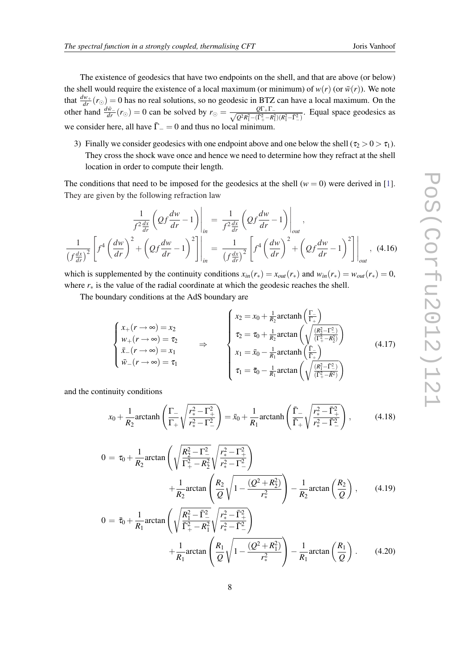The existence of geodesics that have two endpoints on the shell, and that are above (or below) the shell would require the existence of a local maximum (or minimum) of  $w(r)$  (or  $\bar{w}(r)$ ). We note that  $\frac{dw_+}{dr}(r_0) = 0$  has no real solutions, so no geodesic in BTZ can have a local maximum. On the other hand  $\frac{d\bar{w}_-}{dr}(r_{\odot}) = 0$  can be solved by  $r_{\odot} = \frac{Q\Gamma + \Gamma - Q}{\sqrt{Q^2R^2 - (\Gamma^2 - R^2)}}$  $\frac{Q_1+P_2}{Q^2R_1^2-(\Gamma_+^2-R_1^2)(R_1^2-\overline{\Gamma}_-^2)}$ . Equal space geodesics as we consider here, all have  $\bar{\Gamma}_{-}=0$  and thus no local minimum.

3) Finally we consider geodesics with one endpoint above and one below the shell ( $\tau_2 > 0 > \tau_1$ ). They cross the shock wave once and hence we need to determine how they refract at the shell location in order to compute their length.

The conditions that need to be imposed for the geodesics at the shell  $(w = 0)$  were derived in [\[1\]](#page-12-0). They are given by the following refraction law

$$
\frac{1}{f^2\frac{dx}{dr}}\left(Qf\frac{dw}{dr}-1\right)\Big|_{in} = \frac{1}{f^2\frac{dx}{dr}}\left(Qf\frac{dw}{dr}-1\right)\Big|_{out},
$$
\n
$$
\frac{1}{\left(f\frac{dx}{dr}\right)^2}\left[f^4\left(\frac{dw}{dr}\right)^2 + \left(Qf\frac{dw}{dr}-1\right)^2\right]\Big|_{in} = \frac{1}{\left(f\frac{dx}{dr}\right)^2}\left[f^4\left(\frac{dw}{dr}\right)^2 + \left(Qf\frac{dw}{dr}-1\right)^2\right]\Big|_{out}, \quad (4.16)
$$

which is supplemented by the continuity conditions  $x_{in}(r_*) = x_{out}(r_*)$  and  $w_{in}(r_*) = w_{out}(r_*) = 0$ , where  $r<sub>*</sub>$  is the value of the radial coordinate at which the geodesic reaches the shell.

The boundary conditions at the AdS boundary are

$$
\begin{cases}\n x_{+}(r \to \infty) = x_{2} \\
 w_{+}(r \to \infty) = \tau_{2} \\
 \bar{x}_{-}(r \to \infty) = x_{1} \\
 \bar{w}_{-}(r \to \infty) = \tau_{1}\n\end{cases}\n\Rightarrow\n\begin{cases}\n x_{2} = x_{0} + \frac{1}{R_{2}} \arctanh\left(\frac{\Gamma_{-}}{\Gamma_{+}}\right) \\
 \tau_{2} = \tau_{0} + \frac{1}{R_{2}} \arctan\left(\sqrt{\frac{\left(R_{2}^{2} - \Gamma_{-}^{2}\right)}{\left(\Gamma_{+}^{2} - R_{2}^{2}\right)}}\right) \\
 x_{1} = \bar{x}_{0} - \frac{1}{R_{1}} \arctanh\left(\frac{\Gamma_{-}}{\Gamma_{+}}\right) \\
 \tau_{1} = \bar{\tau}_{0} - \frac{1}{R_{1}} \arctan\left(\sqrt{\frac{\left(R_{1}^{2} - \bar{\Gamma}_{-}^{2}\right)}{\left(\Gamma_{+}^{2} - \bar{R}_{2}^{2}\right)}}\right)\n\end{cases}\n\tag{4.17}
$$

and the continuity conditions

$$
x_0 + \frac{1}{R_2} \operatorname{arctanh}\left(\frac{\Gamma_-}{\Gamma_+} \sqrt{\frac{r_*^2 - \Gamma_+^2}{r_*^2 - \Gamma_-^2}}\right) = \bar{x}_0 + \frac{1}{R_1} \operatorname{arctanh}\left(\frac{\bar{\Gamma}_-}{\bar{\Gamma}_+} \sqrt{\frac{r_*^2 - \bar{\Gamma}_+^2}{r_*^2 - \bar{\Gamma}_-^2}}\right),\tag{4.18}
$$

$$
0 = \tau_0 + \frac{1}{R_2} \arctan\left(\sqrt{\frac{R_2^2 - \Gamma_-^2}{\Gamma_+^2 - R_2^2}} \sqrt{\frac{r_*^2 - \Gamma_+^2}{r_*^2 - \Gamma_-^2}}\right) + \frac{1}{R_2} \arctan\left(\frac{R_2}{Q} \sqrt{1 - \frac{(Q^2 + R_2^2)}{r_*^2}}\right) - \frac{1}{R_2} \arctan\left(\frac{R_2}{Q}\right), \qquad (4.19)
$$
  

$$
0 = \bar{\tau}_0 + \frac{1}{R_2} \arctan\left(\sqrt{\frac{R_1^2 - \bar{\Gamma}_-^2}{\bar{\Gamma}_2^2}} \sqrt{\frac{r_*^2 - \bar{\Gamma}_+^2}{r_*^2 - \bar{\Gamma}_+^2}}\right)
$$

$$
\frac{1}{R_1} \arctan\left(\sqrt{\frac{\overline{\Gamma}_+^2 - R_1^2}{\overline{\Gamma}_+^2 - \overline{\Gamma}_-^2}}\right) + \frac{1}{R_1} \arctan\left(\frac{R_1}{Q}\sqrt{1 - \frac{(Q^2 + R_1^2)}{r_*^2}}\right) - \frac{1}{R_1} \arctan\left(\frac{R_1}{Q}\right). \tag{4.20}
$$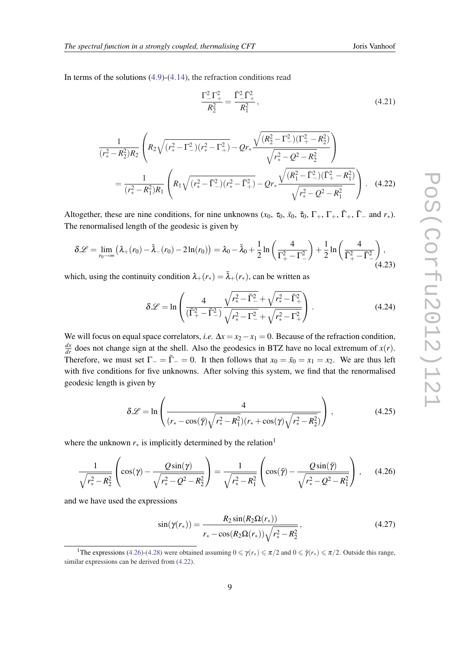In terms of the solutions  $(4.9)-(4.14)$  $(4.9)-(4.14)$  $(4.9)-(4.14)$  $(4.9)-(4.14)$  $(4.9)-(4.14)$ , the refraction conditions read

$$
\frac{\Gamma_-^2 \Gamma_+^2}{R_2^2} = \frac{\bar{\Gamma}_-^2 \bar{\Gamma}_+^2}{R_1^2},\tag{4.21}
$$

$$
\frac{1}{(r_{*}^{2}-R_{2}^{2})R_{2}}\left(R_{2}\sqrt{(r_{*}^{2}-\Gamma_{-}^{2})(r_{*}^{2}-\Gamma_{+}^{2})}-Qr_{*}\frac{\sqrt{(R_{2}^{2}-\Gamma_{-}^{2})(\Gamma_{+}^{2}-R_{2}^{2})}}{\sqrt{r_{*}^{2}-Q^{2}-R_{2}^{2}}}\right)
$$
\n
$$
=\frac{1}{(r_{*}^{2}-R_{1}^{2})R_{1}}\left(R_{1}\sqrt{(r_{*}^{2}-\bar{\Gamma}_{-}^{2})(r_{*}^{2}-\bar{\Gamma}_{+}^{2})}-Qr_{*}\frac{\sqrt{(R_{1}^{2}-\bar{\Gamma}_{-}^{2})(\bar{\Gamma}_{+}^{2}-R_{1}^{2})}}{\sqrt{r_{*}^{2}-Q^{2}-R_{1}^{2}}}\right).
$$
\n(4.22)

Altogether, these are nine conditions, for nine unknowns  $(x_0, \tau_0, \bar{x}_0, \bar{\tau}_0, \Gamma_+, \Gamma_+, \bar{\Gamma}_+, \bar{\Gamma}_-$  and  $r_*$ ). The renormalised length of the geodesic is given by

$$
\delta \mathscr{L} = \lim_{r_0 \to \infty} \left( \lambda_+(r_0) - \bar{\lambda}_-(r_0) - 2\ln(r_0) \right) = \lambda_0 - \bar{\lambda}_0 + \frac{1}{2} \ln\left(\frac{4}{\Gamma_+^2 - \Gamma_-^2}\right) + \frac{1}{2} \ln\left(\frac{4}{\bar{\Gamma}_+^2 - \bar{\Gamma}_-^2}\right),\tag{4.23}
$$

which, using the continuity condition  $\lambda_+(r_*) = \bar{\lambda}_+(r_*)$ , can be written as

$$
\delta \mathcal{L} = \ln \left( \frac{4}{(\bar{\Gamma}_{+}^{2} - \bar{\Gamma}_{-}^{2})} \frac{\sqrt{r_{*}^{2} - \bar{\Gamma}_{-}^{2}} + \sqrt{r_{*}^{2} - \bar{\Gamma}_{+}^{2}}}{\sqrt{r_{*}^{2} - \Gamma_{-}^{2}} + \sqrt{r_{*}^{2} - \Gamma_{+}^{2}}} \right).
$$
(4.24)

We will focus on equal space correlators, *i.e.*  $\Delta x = x_2 - x_1 = 0$ . Because of the refraction condition,  $\frac{dx}{dr}$  does not change sign at the shell. Also the geodesics in BTZ have no local extremum of  $x(r)$ . Therefore, we must set  $\Gamma = \overline{\Gamma} = 0$ . It then follows that  $x_0 = \overline{x}_0 = x_1 = x_2$ . We are thus left with five conditions for five unknowns. After solving this system, we find that the renormalised geodesic length is given by

$$
\delta \mathcal{L} = \ln \left( \frac{4}{(r_* - \cos(\bar{\gamma})\sqrt{r_*^2 - R_1^2})(r_* + \cos(\gamma)\sqrt{r_*^2 - R_2^2})} \right),
$$
\n(4.25)

where the unknown  $r_*$  is implicitly determined by the relation<sup>1</sup>

$$
\frac{1}{\sqrt{r_*^2 - R_2^2}} \left( \cos(\gamma) - \frac{Q \sin(\gamma)}{\sqrt{r_*^2 - Q^2 - R_2^2}} \right) = \frac{1}{\sqrt{r_*^2 - R_1^2}} \left( \cos(\bar{\gamma}) - \frac{Q \sin(\bar{\gamma})}{\sqrt{r_*^2 - Q^2 - R_1^2}} \right), \quad (4.26)
$$

and we have used the expressions

$$
\sin(\gamma(r_*)) = \frac{R_2 \sin(R_2 \Omega(r_*))}{r_* - \cos(R_2 \Omega(r_*)) \sqrt{r_*^2 - R_2^2}},
$$
\n(4.27)

<sup>&</sup>lt;sup>1</sup>The expressions (4.26)-([4.28](#page-9-0)) were obtained assuming  $0 \le \gamma(r_*) \le \pi/2$  and  $0 \le \overline{\gamma}(r_*) \le \pi/2$ . Outside this range, similar expressions can be derived from (4.22).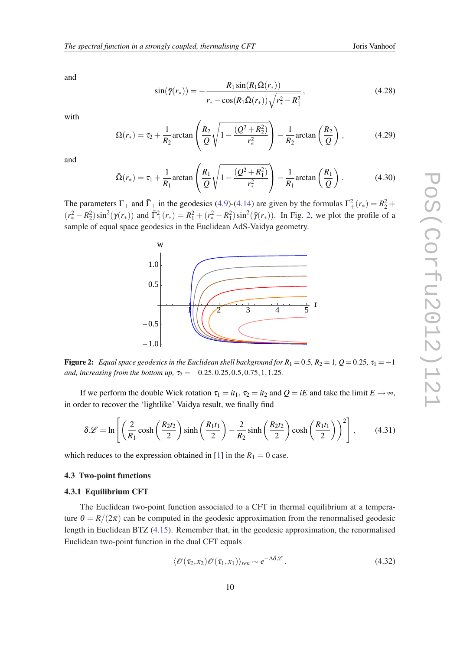<span id="page-9-0"></span>and

$$
\sin(\bar{\gamma}(r_*)) = -\frac{R_1 \sin(R_1 \bar{\Omega}(r_*))}{r_* - \cos(R_1 \bar{\Omega}(r_*)) \sqrt{r_*^2 - R_1^2}},
$$
\n(4.28)

with

$$
\Omega(r_*) = \tau_2 + \frac{1}{R_2} \arctan\left(\frac{R_2}{Q} \sqrt{1 - \frac{(Q^2 + R_2^2)}{r_*^2}}\right) - \frac{1}{R_2} \arctan\left(\frac{R_2}{Q}\right),\tag{4.29}
$$

and

$$
\bar{\Omega}(r_*) = \tau_1 + \frac{1}{R_1} \arctan\left(\frac{R_1}{Q} \sqrt{1 - \frac{(Q^2 + R_1^2)}{r_*^2}}\right) - \frac{1}{R_1} \arctan\left(\frac{R_1}{Q}\right). \tag{4.30}
$$

The parameters  $\Gamma_+$  and  $\bar{\Gamma}_+$  in the geodesics ([4.9](#page-6-0))-[\(4.14](#page-6-0)) are given by the formulas  $\Gamma_+^2(r_*) = R_2^2 +$  $(r_*^2 - R_2^2) \sin^2(\gamma(r_*))$  and  $\bar{\Gamma}_+^2(r_*) = R_1^2 + (r_*^2 - R_1^2) \sin^2(\bar{\gamma}(r_*))$ . In Fig. 2, we plot the profile of a sample of equal space geodesics in the Euclidean AdS-Vaidya geometry.



Figure 2: *Equal space geodesics in the Euclidean shell background for*  $R_1 = 0.5$ ,  $R_2 = 1$ ,  $Q = 0.25$ ,  $\tau_1 = -1$ *and, increasing from the bottom up,*  $\tau_2 = -0.25, 0.25, 0.5, 0.75, 1, 1.25$ .

If we perform the double Wick rotation  $\tau_1 = it_1$ ,  $\tau_2 = it_2$  and  $Q = iE$  and take the limit  $E \rightarrow \infty$ , in order to recover the 'lightlike' Vaidya result, we finally find

$$
\delta \mathcal{L} = \ln \left[ \left( \frac{2}{R_1} \cosh \left( \frac{R_2 t_2}{2} \right) \sinh \left( \frac{R_1 t_1}{2} \right) - \frac{2}{R_2} \sinh \left( \frac{R_2 t_2}{2} \right) \cosh \left( \frac{R_1 t_1}{2} \right) \right)^2 \right],\tag{4.31}
$$

which reduces to the expression obtained in [\[1\]](#page-12-0) in the  $R_1 = 0$  case.

## 4.3 Two-point functions

#### 4.3.1 Equilibrium CFT

The Euclidean two-point function associated to a CFT in thermal equilibrium at a temperature  $\theta = R/(2\pi)$  can be computed in the geodesic approximation from the renormalised geodesic length in Euclidean BTZ ([4.15\)](#page-6-0). Remember that, in the geodesic approximation, the renormalised Euclidean two-point function in the dual CFT equals

$$
\langle \mathcal{O}(\tau_2, x_2) \mathcal{O}(\tau_1, x_1) \rangle_{ren} \sim e^{-\Delta \delta \mathcal{L}}.
$$
 (4.32)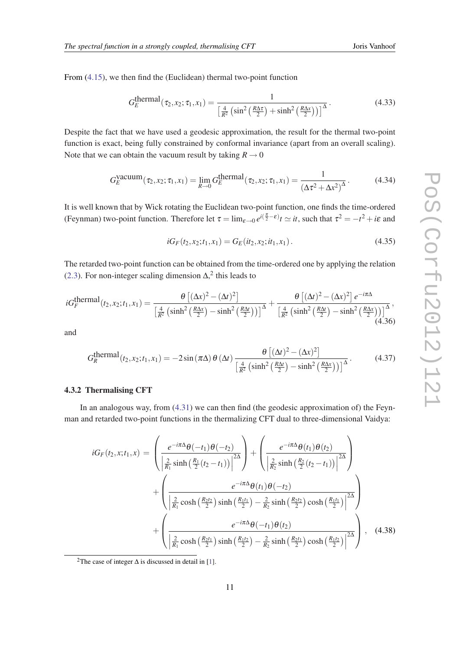<span id="page-10-0"></span>From [\(4.15](#page-6-0)), we then find the (Euclidean) thermal two-point function

$$
G_E^{\text{thermal}}(\tau_2, x_2; \tau_1, x_1) = \frac{1}{\left[\frac{4}{R^2} \left(\sin^2\left(\frac{R\Delta\tau}{2}\right) + \sinh^2\left(\frac{R\Delta x}{2}\right)\right)\right]^{\Delta}}.
$$
\n(4.33)

Despite the fact that we have used a geodesic approximation, the result for the thermal two-point function is exact, being fully constrained by conformal invariance (apart from an overall scaling). Note that we can obtain the vacuum result by taking  $R \rightarrow 0$ 

$$
G_E^{\text{vacuum}}(\tau_2, x_2; \tau_1, x_1) = \lim_{R \to 0} G_E^{\text{thermal}}(\tau_2, x_2; \tau_1, x_1) = \frac{1}{(\Delta \tau^2 + \Delta x^2)^{\Delta}}.
$$
 (4.34)

It is well known that by Wick rotating the Euclidean two-point function, one finds the time-ordered (Feynman) two-point function. Therefore let  $\tau = \lim_{\varepsilon \to 0} e^{i(\frac{\pi}{2} - \varepsilon)} t \simeq it$ , such that  $\tau^2 = -t^2 + i\varepsilon$  and

$$
iG_F(t_2, x_2; t_1, x_1) = G_E(it_2, x_2; it_1, x_1).
$$
\n(4.35)

The retarded two-point function can be obtained from the time-ordered one by applying the relation ([2.3\)](#page-2-0). For non-integer scaling dimension  $\Delta$ ,<sup>2</sup> this leads to

$$
iG_F^{\text{thermal}}(t_2, x_2; t_1, x_1) = \frac{\theta \left[ (\Delta x)^2 - (\Delta t)^2 \right]}{\left[ \frac{4}{R^2} \left( \sinh^2 \left( \frac{R \Delta x}{2} \right) - \sinh^2 \left( \frac{R \Delta t}{2} \right) \right) \right]^{\Delta}} + \frac{\theta \left[ (\Delta t)^2 - (\Delta x)^2 \right] e^{-i\pi \Delta}}{\left[ \frac{4}{R^2} \left( \sinh^2 \left( \frac{R \Delta t}{2} \right) - \sinh^2 \left( \frac{R \Delta x}{2} \right) \right) \right]^{\Delta}},
$$
\n(4.36)

and

$$
G_R^{\text{thermal}}(t_2, x_2; t_1, x_1) = -2\sin(\pi\Delta) \theta(\Delta t) \frac{\theta\left[ (\Delta t)^2 - (\Delta x)^2 \right]}{\left[ \frac{4}{R^2} \left( \sinh^2\left(\frac{R\Delta t}{2}\right) - \sinh^2\left(\frac{R\Delta x}{2}\right) \right) \right]^{\Delta}}.
$$
(4.37)

## 4.3.2 Thermalising CFT

In an analogous way, from ([4.31\)](#page-9-0) we can then find (the geodesic approximation of) the Feynman and retarded two-point functions in the thermalizing CFT dual to three-dimensional Vaidya:

$$
iG_F(t_2, x; t_1, x) = \left(\frac{e^{-i\pi\Delta}\theta(-t_1)\theta(-t_2)}{\left|\frac{2}{R_1}\sinh\left(\frac{R_1}{2}(t_2 - t_1)\right)\right|^{2\Delta}}\right) + \left(\frac{e^{-i\pi\Delta}\theta(t_1)\theta(t_2)}{\left|\frac{2}{R_2}\sinh\left(\frac{R_2}{2}(t_2 - t_1)\right)\right|^{2\Delta}}\right) + \left(\frac{e^{-i\pi\Delta}\theta(t_1)\theta(-t_2)}{\left|\frac{2}{R_1}\cosh\left(\frac{R_2t_2}{2}\right)\sinh\left(\frac{R_1t_1}{2}\right) - \frac{2}{R_2}\sinh\left(\frac{R_2t_2}{2}\right)\cosh\left(\frac{R_1t_1}{2}\right)\right|^{2\Delta}}\right) + \left(\frac{e^{-i\pi\Delta}\theta(-t_1)\theta(t_2)}{\left|\frac{2}{R_1}\cosh\left(\frac{R_2t_1}{2}\right)\sinh\left(\frac{R_1t_2}{2}\right) - \frac{2}{R_2}\sinh\left(\frac{R_2t_1}{2}\right)\cosh\left(\frac{R_1t_2}{2}\right)\right|^{2\Delta}}\right), \quad (4.38)
$$

<sup>&</sup>lt;sup>2</sup>The case of integer  $\Delta$  is discussed in detail in [\[1\]](#page-12-0).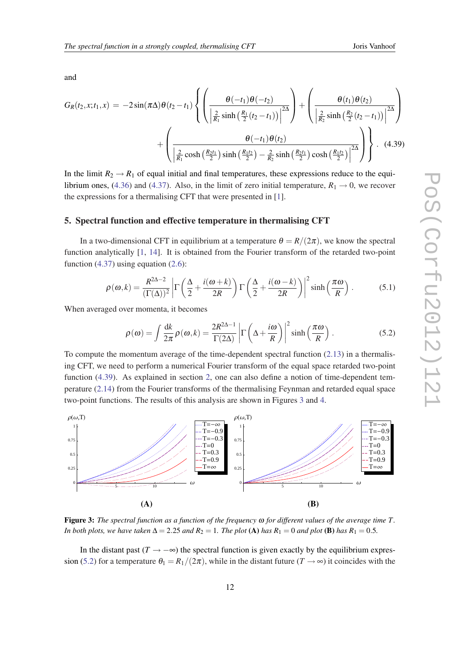<span id="page-11-0"></span>and

$$
G_{R}(t_{2},x;t_{1},x) = -2\sin(\pi\Delta)\theta(t_{2}-t_{1})\left\{\left(\frac{\theta(-t_{1})\theta(-t_{2})}{\left|\frac{2}{R_{1}}\sinh\left(\frac{R_{1}}{2}(t_{2}-t_{1})\right)\right|^{2\Delta}}\right)+\left(\frac{\theta(t_{1})\theta(t_{2})}{\left|\frac{2}{R_{2}}\sinh\left(\frac{R_{2}}{2}(t_{2}-t_{1})\right)\right|^{2\Delta}}\right)+\left(\frac{\theta(-t_{1})\theta(t_{2})}{\left|\frac{2}{R_{1}}\cosh\left(\frac{R_{2}t_{1}}{2}\right)\sinh\left(\frac{R_{1}t_{2}}{2}\right)-\frac{2}{R_{2}}\sinh\left(\frac{R_{2}t_{1}}{2}\right)\cosh\left(\frac{R_{1}t_{2}}{2}\right)\right|^{2\Delta}}\right)\right\}.
$$
(4.39)

In the limit  $R_2 \rightarrow R_1$  of equal initial and final temperatures, these expressions reduce to the equi-librium ones, [\(4.36](#page-10-0)) and [\(4.37](#page-10-0)). Also, in the limit of zero initial temperature,  $R_1 \rightarrow 0$ , we recover the expressions for a thermalising CFT that were presented in [\[1\]](#page-12-0).

#### 5. Spectral function and effective temperature in thermalising CFT

In a two-dimensional CFT in equilibrium at a temperature  $\theta = R/(2\pi)$ , we know the spectral function analytically [\[1,](#page-12-0) [14\]](#page-13-0). It is obtained from the Fourier transform of the retarded two-point function  $(4.37)$  $(4.37)$  using equation  $(2.6)$  $(2.6)$  $(2.6)$ :

$$
\rho(\omega,k) = \frac{R^{2\Delta - 2}}{(\Gamma(\Delta))^2} \left| \Gamma\left(\frac{\Delta}{2} + \frac{i(\omega + k)}{2R}\right) \Gamma\left(\frac{\Delta}{2} + \frac{i(\omega - k)}{2R}\right) \right|^2 \sinh\left(\frac{\pi\omega}{R}\right).
$$
 (5.1)

When averaged over momenta, it becomes

$$
\rho(\omega) = \int \frac{dk}{2\pi} \rho(\omega, k) = \frac{2R^{2\Delta - 1}}{\Gamma(2\Delta)} \left| \Gamma\left(\Delta + \frac{i\omega}{R}\right) \right|^2 \sinh\left(\frac{\pi\omega}{R}\right).
$$
 (5.2)

To compute the momentum average of the time-dependent spectral function ([2.13\)](#page-3-0) in a thermalising CFT, we need to perform a numerical Fourier transform of the equal space retarded two-point function (4.39). As explained in section [2,](#page-1-0) one can also define a notion of time-dependent temperature ([2.14\)](#page-3-0) from the Fourier transforms of the thermalising Feynman and retarded equal space two-point functions. The results of this analysis are shown in Figures 3 and [4.](#page-12-0)



Figure 3: *The spectral function as a function of the frequency* ω *for different values of the average time T . In both plots, we have taken*  $\Delta = 2.25$  *and*  $R_2 = 1$ *. The plot* (A) *has*  $R_1 = 0$  *and plot* (B) *has*  $R_1 = 0.5$ *.* 

In the distant past  $(T \rightarrow -\infty)$  the spectral function is given exactly by the equilibrium expression (5.2) for a temperature  $\theta_1 = R_1/(2\pi)$ , while in the distant future (*T*  $\rightarrow \infty$ ) it coincides with the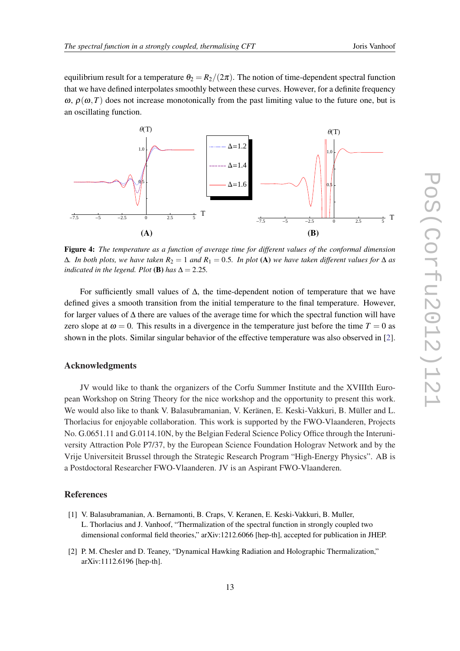<span id="page-12-0"></span>equilibrium result for a temperature  $\theta_2 = R_2/(2\pi)$ . The notion of time-dependent spectral function that we have defined interpolates smoothly between these curves. However, for a definite frequency  $\omega$ ,  $\rho(\omega, T)$  does not increase monotonically from the past limiting value to the future one, but is an oscillating function.



Figure 4: *The temperature as a function of average time for different values of the conformal dimension*  $Δ$ *. In both plots, we have taken*  $R_2 = 1$  *and*  $R_1 = 0.5$ *. In plot* (**A**) *we have taken different values for*  $Δ$  *as indicated in the legend. Plot* (**B**) *has*  $\Delta = 2.25$ *.* 

For sufficiently small values of  $\Delta$ , the time-dependent notion of temperature that we have defined gives a smooth transition from the initial temperature to the final temperature. However, for larger values of ∆ there are values of the average time for which the spectral function will have zero slope at  $\omega = 0$ . This results in a divergence in the temperature just before the time  $T = 0$  as shown in the plots. Similar singular behavior of the effective temperature was also observed in [2].

## Acknowledgments

JV would like to thank the organizers of the Corfu Summer Institute and the XVIIIth European Workshop on String Theory for the nice workshop and the opportunity to present this work. We would also like to thank V. Balasubramanian, V. Keränen, E. Keski-Vakkuri, B. Müller and L. Thorlacius for enjoyable collaboration. This work is supported by the FWO-Vlaanderen, Projects No. G.0651.11 and G.0114.10N, by the Belgian Federal Science Policy Office through the Interuniversity Attraction Pole P7/37, by the European Science Foundation Holograv Network and by the Vrije Universiteit Brussel through the Strategic Research Program "High-Energy Physics". AB is a Postdoctoral Researcher FWO-Vlaanderen. JV is an Aspirant FWO-Vlaanderen.

# References

- [1] V. Balasubramanian, A. Bernamonti, B. Craps, V. Keranen, E. Keski-Vakkuri, B. Muller, L. Thorlacius and J. Vanhoof, "Thermalization of the spectral function in strongly coupled two dimensional conformal field theories," arXiv:1212.6066 [hep-th], accepted for publication in JHEP.
- [2] P. M. Chesler and D. Teaney, "Dynamical Hawking Radiation and Holographic Thermalization," arXiv:1112.6196 [hep-th].